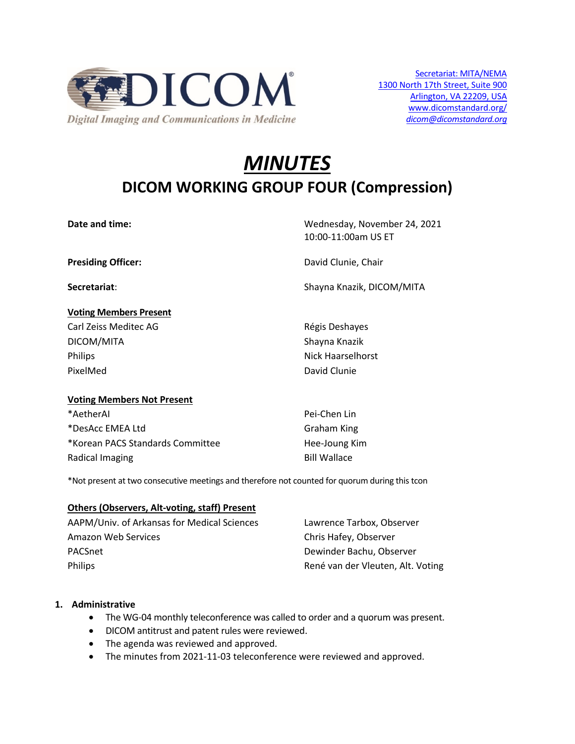

# *MINUTES* **DICOM WORKING GROUP FOUR (Compression)**

## **Voting Members Present** Carl Zeiss Meditec AG **Régis Deshayes** Carl Zeiss Meditec AG

DICOM/MITA Shayna Knazik Philips **Nick Haarselhorst** PixelMed David Clunie

Date and time: Wednesday, November 24, 2021 10:00-11:00am US ET

**Presiding Officer:** David Clunie, Chair

**Secretariat**: Shayna Knazik, DICOM/MITA

## **Voting Members Not Present**

\*AetherAI Pei-Chen Lin \*DesAcc EMEA Ltd Graham King \*Korean PACS Standards Committee Hee-Joung Kim Radical Imaging **Bill Wallace** 

\*Not present at two consecutive meetings and therefore not counted for quorum during this tcon

## **Others (Observers, Alt-voting, staff) Present**

| AAPM/Univ. of Arkansas for Medical Sciences | Lawrence Tarbox, Observer         |
|---------------------------------------------|-----------------------------------|
| Amazon Web Services                         | Chris Hafey, Observer             |
| PACSnet                                     | Dewinder Bachu, Observer          |
| Philips                                     | René van der Vleuten, Alt. Voting |

#### **1. Administrative**

- The WG-04 monthly teleconference was called to order and a quorum was present.
- DICOM antitrust and patent rules were reviewed.
- The agenda was reviewed and approved.
- The minutes from 2021-11-03 teleconference were reviewed and approved.